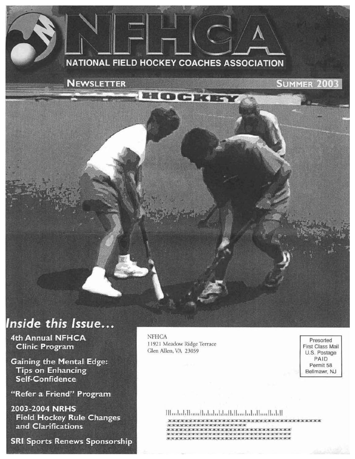#### **NATIONAL FIELD HOCKEY COACHES ASSOCIATION**

**IQCERS** 

**NEWSLETTER** 

**SUMMER 2003** 

## Inside this Issue...

4th Annual NFHCA **Clinic Program** 

**Gaining the Mental Edge: Tips on Enhancing** Self-Confidence

"Refer a Friend" Program

2003-2004 NRHS **Field Hockey Rule Changes** and Clarifications

**SRI Sports Renews Sponsorship** 

**NFHCA** 11921 Meadow Ridge Terrace Glen Allen, VA 23059

Presorted First Class Mail U.S. Postage PAID Permit 58 Bellmawr, NJ

#### Սևոհվվետակցելեցի կենտրոնյան կազմակ

contract that the their material contract contract their contract contract contract contract contract contract de del per del per per del de la per de la revolución del per de de la marca de del del de del del del per de del del \*\*\*\*\*\*\*\*\*\*\*\*\*\*\*\*\*\*\*\*\*\*\*\*\*\*\*\*\*\*\*\*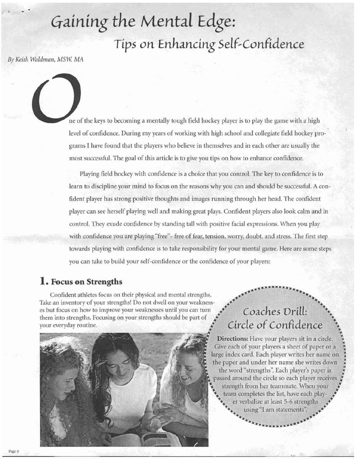# Gaining the Mental *Edge*: *Tips on* **Enhancing** Self~ **Confidence**

 $Bv$  *Keith Waldman, MSW. MA* 

ne of the keys to becoming a mentally tough field hockey player is to play the game with a high level of confidence. During my years of working with high school and collegiate field hockey programs I have found that the players who believe in themselves and in each other are usually the most successful. The goal of this article is to give you tips on how to enhance confidence.

Playing field hockey with confidence is a choice that you control. The key to confidence is to learn to discipline your mind to focus on the reasons why you can and should be successful. A confident player has strong positive thoughts and images running through her head. The confident player can see herself playing well and making great plays. Confident players also look calm and in control. They exude confidence by standing tall with positive facial expressions. When you play with confidence you are playing "free"- free of fear, tension, worry, doubt, and stress. The first step towards playing with confidence is to take responsibility for your mental game. Here arc some steps you can take to build your self-confidence or the confidence of your players:

**1. Focus on Strengths**<br>
Confident athletes focus on their physical and mental strengths.<br>
Take an inventory of your strengths! Do not dwell on your weaknesses<br>
es but focus on how to improve your weaknesses Confident athletes focus on their physical and mental strengths.<br>Take an inventory of your strengths! Do not dwell on your weaknesses but focus on how to improve your weaknesses until you can turn them into strengths. Pocusing on your strengths should be part of your everyday routine.



# ~ ~ •• **Coaches DrilL:** •. <sup>+</sup><sup>~</sup> **Circle of Confidence**

~ **Directions:** Have your players sit in a circle. \ Give each of your players a sheet of paper or a large index card. Each player writes her name on the paper and under her name she writes down *:*  the word "strengths". Each player's paper is passed around the circle so each player receives<br>strength from her teammate. When your<br>team completes the list, have each play-<br>ar verbalize at least 5-6 strengths<br> $\frac{1}{2}$ <br> $\frac{1}{2}$ <br> $\frac{1}{2}$ <br> $\frac{1}{2}$ <br> $\frac{1}{2}$ <br> $\frac{1}{2}$ strength from her teammate. When your team completes the list, have each player verbalize at least 5-6 strengths • . .. 1 .. •• •• ustng am statements. + ....... . .. using "I am statements".